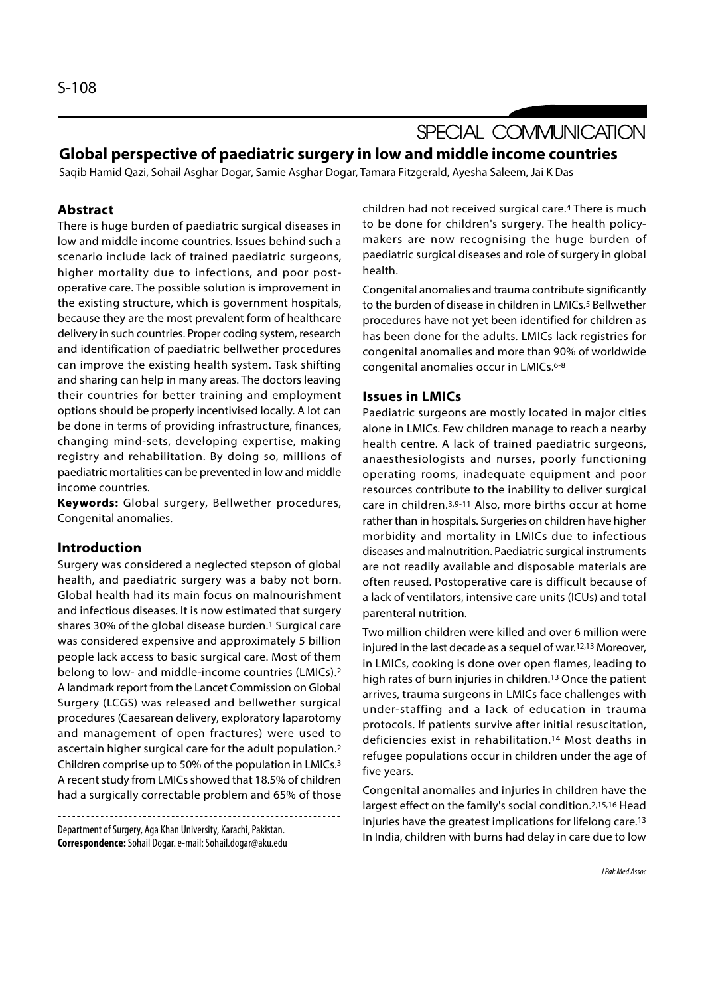# SPECIAL COMMUNICATION Global perspective of paediatric surgery in low and middle income countries

Saqib Hamid Qazi, Sohail Asghar Dogar, Samie Asghar Dogar, Tamara Fitzgerald, Ayesha Saleem, Jai K Das

# Abstract

There is huge burden of paediatric surgical diseases in low and middle income countries. Issues behind such a scenario include lack of trained paediatric surgeons, higher mortality due to infections, and poor postoperative care. The possible solution is improvement in the existing structure, which is government hospitals, because they are the most prevalent form of healthcare delivery in such countries. Proper coding system, research and identification of paediatric bellwether procedures can improve the existing health system. Task shifting and sharing can help in many areas. The doctors leaving their countries for better training and employment options should be properly incentivised locally. A lot can be done in terms of providing infrastructure, finances, changing mind-sets, developing expertise, making registry and rehabilitation. By doing so, millions of paediatric mortalities can be prevented in low and middle income countries.

Keywords: Global surgery, Bellwether procedures, Congenital anomalies.

# Introduction

Surgery was considered a neglected stepson of global health, and paediatric surgery was a baby not born. Global health had its main focus on malnourishment and infectious diseases. It is now estimated that surgery shares 30% of the global disease burden.1 Surgical care was considered expensive and approximately 5 billion people lack access to basic surgical care. Most of them belong to low- and middle-income countries (LMICs).2 A landmark report from the Lancet Commission on Global Surgery (LCGS) was released and bellwether surgical procedures (Caesarean delivery, exploratory laparotomy and management of open fractures) were used to ascertain higher surgical care for the adult population.2 Children comprise up to 50% of the population in LMICs.3 A recent study from LMICs showed that 18.5% of children had a surgically correctable problem and 65% of those

Department of Surgery, Aga Khan University, Karachi, Pakistan. Correspondence: Sohail Dogar. e-mail: Sohail.dogar@aku.edu children had not received surgical care.4 There is much to be done for children's surgery. The health policymakers are now recognising the huge burden of paediatric surgical diseases and role of surgery in global health.

Congenital anomalies and trauma contribute significantly to the burden of disease in children in LMICs.<sup>5</sup> Bellwether procedures have not yet been identified for children as has been done for the adults. LMICs lack registries for congenital anomalies and more than 90% of worldwide congenital anomalies occur in LMICs.6-8

## Issues in LMICs

Paediatric surgeons are mostly located in major cities alone in LMICs. Few children manage to reach a nearby health centre. A lack of trained paediatric surgeons, anaesthesiologists and nurses, poorly functioning operating rooms, inadequate equipment and poor resources contribute to the inability to deliver surgical care in children.3,9-11 Also, more births occur at home rather than in hospitals. Surgeries on children have higher morbidity and mortality in LMICs due to infectious diseases and malnutrition. Paediatric surgical instruments are not readily available and disposable materials are often reused. Postoperative care is difficult because of a lack of ventilators, intensive care units (ICUs) and total parenteral nutrition.

Two million children were killed and over 6 million were injured in the last decade as a sequel of war.12,13 Moreover, in LMICs, cooking is done over open flames, leading to high rates of burn injuries in children.13 Once the patient arrives, trauma surgeons in LMICs face challenges with under-staffing and a lack of education in trauma protocols. If patients survive after initial resuscitation, deficiencies exist in rehabilitation.14 Most deaths in refugee populations occur in children under the age of five years.

Congenital anomalies and injuries in children have the largest effect on the family's social condition.2,15,16 Head injuries have the greatest implications for lifelong care.13 In India, children with burns had delay in care due to low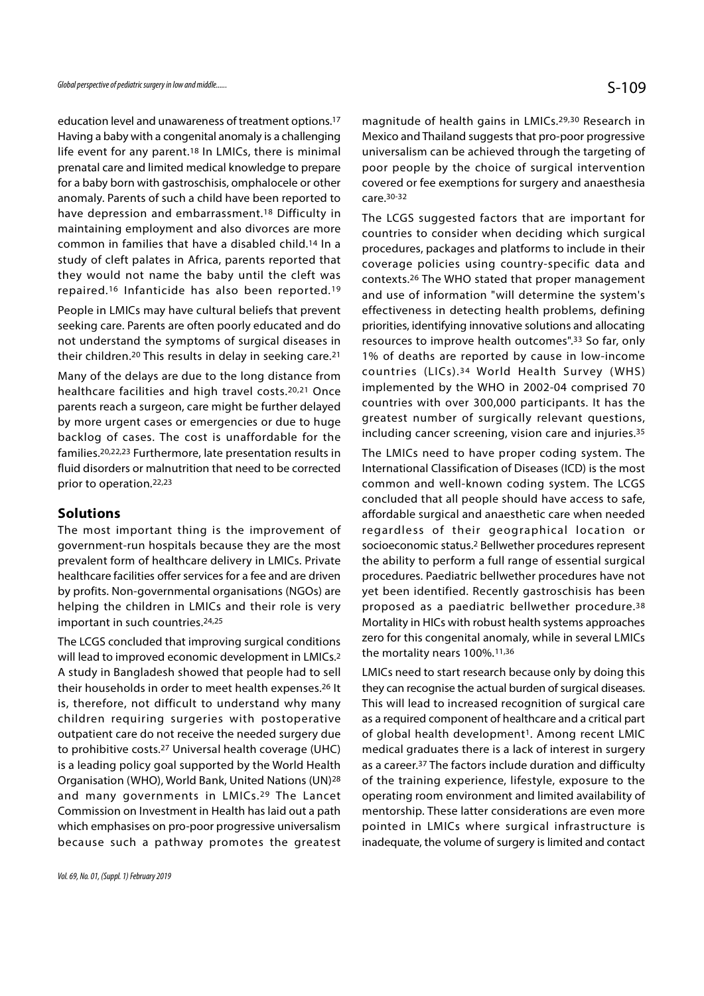education level and unawareness of treatment options.17 Having a baby with a congenital anomaly is a challenging life event for any parent.18 In LMICs, there is minimal prenatal care and limited medical knowledge to prepare for a baby born with gastroschisis, omphalocele or other anomaly. Parents of such a child have been reported to have depression and embarrassment.18 Difficulty in maintaining employment and also divorces are more common in families that have a disabled child.14 In a study of cleft palates in Africa, parents reported that they would not name the baby until the cleft was repaired.16 Infanticide has also been reported.19

People in LMICs may have cultural beliefs that prevent seeking care. Parents are often poorly educated and do not understand the symptoms of surgical diseases in their children.20 This results in delay in seeking care.21

healthcare facilities and high travel costs.20,21 Once parents reach a surgeon, care might be further delayed by more urgent cases or emergencies or due to huge backlog of cases. The cost is unaffordable for the families.20,22,23 Furthermore, late presentation results in fluid disorders or malnutrition that need to be corrected prior to operation.22,23

### Solutions

The most important thing is the improvement of government-run hospitals because they are the most prevalent form of healthcare delivery in LMICs. Private healthcare facilities offer services for a fee and are driven by profits. Non-governmental organisations (NGOs) are helping the children in LMICs and their role is very important in such countries.24,25

The LCGS concluded that improving surgical conditions will lead to improved economic development in LMICs.<sup>2</sup> A study in Bangladesh showed that people had to sell their households in order to meet health expenses.26 It is, therefore, not difficult to understand why many children requiring surgeries with postoperative outpatient care do not receive the needed surgery due to prohibitive costs.27 Universal health coverage (UHC) is a leading policy goal supported by the World Health Organisation (WHO), World Bank, United Nations (UN)28 and many governments in LMICs.29 The Lancet Commission on Investment in Health has laid out a path which emphasises on pro-poor progressive universalism because such a pathway promotes the greatest magnitude of health gains in LMICs.29,30 Research in Mexico and Thailand suggests that pro-poor progressive universalism can be achieved through the targeting of poor people by the choice of surgical intervention covered or fee exemptions for surgery and anaesthesia care.30-32

Many of the delays are due to the long distance from countries (LICs).<sup>34</sup> World Health Survey (WHS) The LCGS suggested factors that are important for countries to consider when deciding which surgical procedures, packages and platforms to include in their coverage policies using country-specific data and contexts.26 The WHO stated that proper management and use of information "will determine the system's effectiveness in detecting health problems, defining priorities, identifying innovative solutions and allocating resources to improve health outcomes".33 So far, only 1% of deaths are reported by cause in low-income countries to consider when deciding which surgical<br>procedures, packages and platforms to include in their<br>coverage policies using country-specific data and<br>contexts.<sup>26</sup> The WHO stated that proper management<br>and use of inf implemented by the WHO in 2002-04 comprised 70 countries with over 300,000 participants. It has the greatest number of surgically relevant questions, including cancer screening, vision care and injuries.35

> The LMICs need to have proper coding system. The International Classification of Diseases (ICD) is the most common and well-known coding system. The LCGS concluded that all people should have access to safe, affordable surgical and anaesthetic care when needed regardless of their geographical location or socioeconomic status.2 Bellwether procedures represent the ability to perform a full range of essential surgical procedures. Paediatric bellwether procedures have not yet been identified. Recently gastroschisis has been proposed as a paediatric bellwether procedure.38 Mortality in HICs with robust health systems approaches zero for this congenital anomaly, while in several LMICs the mortality nears 100%.<sup>11,36</sup>

> LMICs need to start research because only by doing this they can recognise the actual burden of surgical diseases. This will lead to increased recognition of surgical care as a required component of healthcare and a critical part of global health development<sup>1</sup>. Among recent LMIC medical graduates there is a lack of interest in surgery as a career.37 The factors include duration and difficulty of the training experience, lifestyle, exposure to the operating room environment and limited availability of mentorship. These latter considerations are even more pointed in LMICs where surgical infrastructure is inadequate, the volume of surgery is limited and contact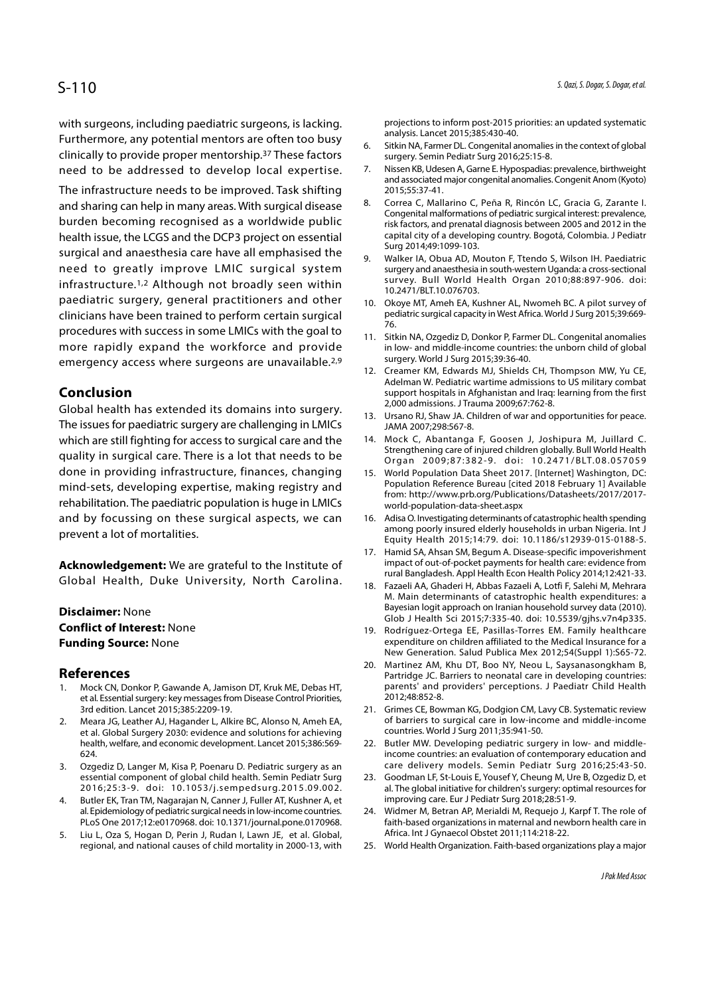# S-110

with surgeons, including paediatric surgeons, is lacking. Furthermore, any potential mentors are often too busy<br>6. Sitkin NA, Farmer DL. Congenital anomalies in the context of global clinically to provide proper mentorship.37 These factors need to be addressed to develop local expertise. 7.

The infrastructure needs to be improved. Task shifting<br>and sharing can belp in many areas With surgical disease 8. Correa C, Mallarino C, Peña R, Rincón LC, Gracia G, Zarante I. and sharing can help in many areas. With surgical disease <sup>8.</sup> burden becoming recognised as a worldwide public health issue, the LCGS and the DCP3 project on essential surgical and anaesthesia care have all emphasised the surgizulation in Nobua AD, Mouton F, Ttendo S, Wilson IH. Paediatric need to greatly improve LMIC surgical system infrastructure.1,2 Although not broadly seen within paediatric surgery, general practitioners and other 10. Okoye MT, Ameh EA, Kushner AL, Nwomeh BC. A pilot survey of clinicians have been trained to perform certain surgical procedures with success in some LMICs with the goal to the Sitkin NA, Ozgediz D, Donkor P, Farmer DL. Congenital anomalies more rapidly expand the workforce and provide emergency access where surgeons are unavailable.<sup>2,9</sup> surgery. World J Surg 2015;39:36-40.<br>12. Creamer KM, Edwards MJ, Shields CH, Thompson MW, Yu CE,

# Conclusion

Global health has extended its domains into surgery.<br>13. Ursano RJ, Shaw JA. Children of war and opportunities for peace. The issues for paediatric surgery are challenging in LMICs which are still fighting for access to surgical care and the 14. Mock C, Abantanga F, Goosen J, Joshipura M, Juillard C. quality in surgical care. There is a lot that needs to be<br>Organ 2009;87:382-9. doi: 10.2471/BLT.08.057059 done in providing infrastructure, finances, changing 15. World Population Data Sheet 2017. [Internet] Washington, DC: mind-sets, developing expertise, making registry and rehabilitation. The paediatric population is huge in LMICs and by focussing on these surgical aspects, we can 16. Adisa O. Investigating determinants of catastrophic health spending prevent a lot of mortalities.

Acknowledgement: We are grateful to the Institute of Global Health, Duke University, North Carolina.<br>18. Fazaeli AA, Ghaderi H, Abbas Fazaeli A, Lotfi F, Salehi M, Mehrara

## Disclaimer: None Conflict of Interest: None Funding Source: None

- References<br>1. Mock CN, Donkor P, Gawande A, Jamison DT, Kruk ME, Debas HT, 17.<br> **Acknowledgement:** We are grateful to the Institute of<br>
Global Health, Duke University, North Carolina.<br> **Disclaimer:** None<br> **Conflict of Interest:** None<br> **Funding Source:** None<br> **References**<br>
20.<br> **References**<br>
1. Mo et al. Essential surgery: key messages from Disease Control Priorities, 3rd edition. Lancet 2015;385:2209-19.
- **Disclaimer:** None<br> **Conflict of Interest:** None<br> **Conflict of Interest:** None<br> **Funding Source:** None<br> **References**<br>
1. Mock CN, Donkor P, Gawande A, Jamison DT, Kruk ME, Debas HT,<br>
et al. Essential surgery: key messages et al. Global Surgery 2030: evidence and solutions for achieving countries. World J Surg 2011;35:941-50.<br>health, welfare, and economic development. Lancet 2015;386:569- 22. Butler MW. Developing pediatric surgery in low- a health, welfare, and economic development. Lancet 2015;386:569- 624. **Example 19.** Rodríguez-Or<br> **Example 19.** Bodríguez-Or<br> **References**<br>
1. Mock CN, Donkor P, Gawande A, Jamison DT, Kruk ME, Debas HT,<br>
20. Martinge JC.<br>
1. Mock CN, Donkor P, Gawande A, Jamison DT, Kruk ME, Debas HT,<br>
2. C Mew Generation. Salud Publica Mexican Mock CN, Donkor P, Gawande A, Jamison DT, Kruk ME, Debas HT, and providers', cheaters on experiment and the control Priorities, 3rd edition. Lancet 2015;385:2009-19.<br>
21. Grimes CE, Bo 20. Mar<br>
20. Mar<br>
20. Mar<br>
20. Mar<br>
20. Mack CN, Donkor P, Gawande A, Jamison DT, Kruk ME, Debas HT,<br>
21. Grin<br>
3rd edition. Lancet 2015;385:2209-19.<br>
21. Grin<br>
3rd edition. Lancet 2015;385:2209-19.<br>
21. Grin<br>
21. Grin<br>
20 et al. Essential surgery: key messages from Disease Control Priorities,<br>3rd edition. Lancet 2015;385:2209-19.<br>2. Meara JG, Leather AJ, Hagander L, Alkire BC, Alonso N, Ameh EA,<br>et al. Global Surgery 2030: evidence and solu
- 
- al. Epidemiology of pediatric surgical needs in low-income countries. PLoS One 2017;12:e0170968. doi: 10.1371/journal.pone.0170968.
- 

projections to inform post-2015 priorities: an updated systematic analysis. Lancet 2015;385:430-40.

- surgery. Semin Pediatr Surg 2016;25:15-8.
- 5. *Qazi, S. Dogar, S. Dogar, et al.*<br>projections to inform post-2015 priorities: an updated systematic<br>analysis. Lancet 2015;385:430-40.<br>6. Sitkin NA, Farmer DL. Congenital anomalies in the context of global<br>surgery. Semi 5. Qazi, S. Dogar, S. Dogar, et al.<br>
projections to inform post-2015 priorities: an updated systematic<br>
analysis. Lancet 2015;385:430-40.<br>
6. Sitkin NA, Farmer DL. Congenital anomalies in the context of global<br>
surgery. Se and associated major congenital anomalies. Congenit Anom (Kyoto) 2015;55:37-41.
- S. Qazi, S. Dogar, S. Dogar, S. Dogar, et al.<br>
projections to inform post-2015 priorities: an updated systematic<br>
analysis. Lancet 2015;385:430-40.<br>
6. Sitkin NA, Farmer DL. Congenital anomalies in the context of global<br>
s Congenital malformations of pediatric surgical interest: prevalence, risk factors, and prenatal diagnosis between 2005 and 2012 in the capital city of a developing country. Bogotá, Colombia. J Pediatr Surg 2014;49:1099-103. projections to inform post-2015 priorities: an updated systematic<br>
analysis. Lancet 2015;385:430-40.<br>
6. Sitkin NA, Farmer DL. Congenital anomalies in the context of global<br>
surgery. Semin Pediatr Surg 2016;25:15-8.<br>
7. Ni 7. Nissen KB, Udesen A, Garne E. Hypospadias: prevalence, birthweight<br>
and associated major congenital anomalies. Congenit Anom (Kyoto)<br>
2015;55:37-41.<br>
8. Correa C, Mallarino C, Peña R, Rincón LC, Gracia G, Zarante I.<br>
Co 8. Correa C, Mallarino C, Peña R, Rincón LC, Gracia G, Zarante I.<br>
Congenital malformations of pediatric surgical interest: prevalence,<br>
risk factors, and prenatal diagnosis between 2005 and 2012 in the<br>
capital city of a
- surgery and anaesthesia in south-western Uganda: a cross-sectional survey. Bull World Health Organ 2010;88:897-906. doi: 10.2471/BLT.10.076703.
- pediatric surgical capacity in West Africa. World J Surg 2015;39:669- 76.
- in low- and middle-income countries: the unborn child of global surgery. World J Surg 2015;39:36-40.
- capital city of a developing country. Bogotá, Colombia. J Pediatr<br>
Surg 2014;49:1099-103.<br>
9. Walker IA, Obua AD, Mouton F, Ttendo S, Wilson IH. Paediatric<br>
surgery and anaesthesia in south-western Uganda: a cross-sectiona Adelman W. Pediatric wartime admissions to US military combat support hospitals in Afghanistan and Iraq: learning from the first 2,000 admissions. J Trauma 2009;67:762-8. survey. Bull World Health Organ 2010;88:897-906. doi:<br>10.2471/BLT.10.076703.<br>10. Okoye MT, Ameh EA, Kushner AL, Nwomeh BC. A pilot survey of<br>pediatric surgical capacity in West Africa. World J Surg 2015;39:669-<br>76.<br>11. Sit 10. Okoye MT, Ameh EA, Kushner AL, Nwomeh BC. A pilot survey of<br>pediatric surgical capacity in West Africa. World J Surg 2015;39:669-<br>76.<br>11. Sitkin NA, Ozgediz D, Donkor P, Farmer DL. Congenital anomalies<br>in low- and midd
- JAMA 2007;298:567-8.
- Strengthening care of injured children globally. Bull World Health
- 76.<br>Sitkin NA, Ozgediz D, Donkor P, Farmer DL. Congenital anomalies<br>in low- and middle-income countries: the unborn child of global<br>surgery. World J Surg 2015;39:36-40.<br>Creamer KM, Edwards MJ, Shields CH, Thompson MW, Yu C 11. Sitkin NA, Ozgediz D, Donkor P, Farmer DL. Congenital anomalies<br>
in low- and middle-income countries: the unborn child of global<br>
surgery. World J Surg 2015;39:36-40.<br>
12. Creamer KM, Edwards MJ, Shields CH, Thompson M Population Reference Bureau [cited 2018 February 1] Available from: http://www.prb.org/Publications/Datasheets/2017/2017 world-population-data-sheet.aspx Adelman W. Pediatric wartime admissions to US military combat<br>support hospitals in Afghanistan and Iraq: learning from the first<br>2,000 admissions. J Trauma 2009;67:762-8.<br>13. Ursano RJ, Shaw JA. Children of war and opportu 13. Ursano RJ, Shaw JA. Children of war and opportunities for peace.<br>
JAMA 2007;298:567-8.<br>
14. Mock C, Abantanga F, Goosen J, Joshipura M, Juillard C.<br>
Strengthening care of injured children globally. Bull World Health<br>
O
- among poorly insured elderly households in urban Nigeria. Int J Equity Health 2015;14:79. doi: 10.1186/s12939-015-0188-5.
- impact of out-of-pocket payments for health care: evidence from rural Bangladesh. Appl Health Econ Health Policy 2014;12:421-33.
- Strengthening care of injured children globally. Bull World Health<br>
Organ 2009;87:382-9. doi: 10.2471/BLT.08.057059<br>
15. World Population Data Sheet 2017. [Internet] Washington, DC:<br>
Population Reference Bureau [cited 2018 M. Main determinants of catastrophic health expenditures: a Bayesian logit approach on Iranian household survey data (2010). Glob J Health Sci 2015;7:335-40. doi: 10.5539/gjhs.v7n4p335. 19. From: http://www.prb.org/Publications/Datasheets/2017/2017-<br>
19. Adisa O. Investigating determinants of catastrophic health spending<br>
19. and among poorly insured elderly households in urban Nigeria. Int J<br>
Equity Heal among poorly insured elderly households in urban Nigeria. Int J<br>Equity Health 2015;14:79. doi: 10.1186/s12939-015-0188-5.<br>17. Hamid SA, Ahsan SM, Begum A. Disease-specific impoverishment<br>impact of out-of-pocket payments fo rural Bangladesh. Appl Health Econ Health Policy 2014;12:421-33.<br>
18. Fazaeli AA, Ghaderi H, Abbas Fazaeli A, Lotfi F, Salehi M, Mehrara<br>
16. Main determinants of catastrophic health expenditures: a<br>
Bayesian logit approac
- expenditure on children affiliated to the Medical Insurance for a New Generation. Salud Publica Mex 2012;54(Suppl 1):S65-72.
- Partridge JC. Barriers to neonatal care in developing countries: parents' and providers' perceptions. J Paediatr Child Health 2012;48:852-8. Bayesian logit approach on Iranian household survey data (2010).<br>
Glob J Health Sci 2015;7:335-40. doi: 10.5539/gjhs.v7n4p335.<br>
19. Rodríguez-Ortega EE, Pasillas-Torres EM. Family healthcare<br>
expenditure on children affili expenditure on children affiliated to the Medical Insurance for a<br>
New Generation. Salud Publica Mex 2012;54(Suppl 1):S65-72.<br>
20. Martinez AM, Khu DT, Boo NY, Neou L, Saysanasongkham B,<br>
Partidge JC. Barriers to neonatal
- of barriers to surgical care in low-income and middle-income countries. World J Surg 2011;35:941-50.
- income countries: an evaluation of contemporary education and care delivery models. Semin Pediatr Surg 2016;25:43-50. Partridge JC. Barriers to neonatal care in developing countries:<br>
parents' and providers' perceptions. J Paediatr Child Health<br>
2012;48:852-8.<br>
21. Grimes CE, Bowman KG, Dodgion CM, Lavy CB. Systematic review<br>
of barriers 21. Grimes CE, Bowman KG, Dodgion CM, Lavy CB. Systematic review<br>
of barriers to surgical crae in low-income and middle-income<br>
countries. World J Surg 2011;35:941-50.<br>
22. Butler MW. Developing pediatric surgery in low- a
- essential component of global child health. Semin Pediatr Surg 23. Goodman LF, St-Louis E, Yousef Y, Cheung M, Ure B, Ozgediz D, et 2016;25:3-9. doi: 10.1053/j.sempedsurg.2015.09.002. al. The global initiative for children al. The global initiative for children's surgery: optimal resources for improving care. Eur J Pediatr Surg 2018;28:51-9.
	- faith-based organizations in maternal and newborn health care in Africa. Int J Gynaecol Obstet 2011;114:218-22.
- regional, and national causes of child mortality in 2000-13, with 25. World Health Organization. Faith-based organizations play a major